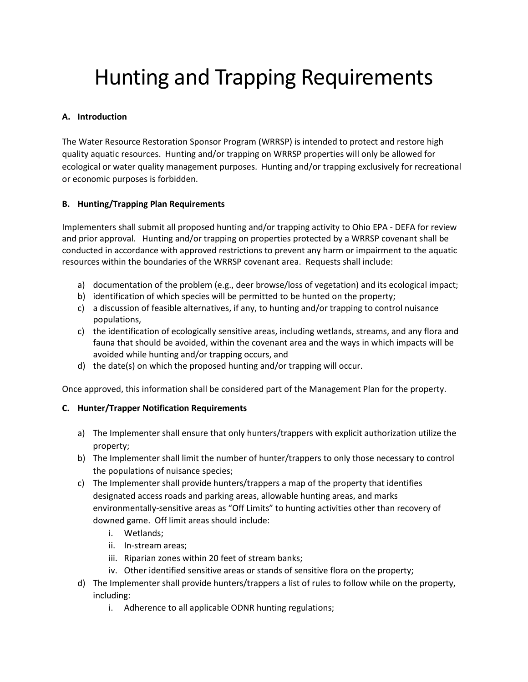# Hunting and Trapping Requirements

## **A. Introduction**

The Water Resource Restoration Sponsor Program (WRRSP) is intended to protect and restore high quality aquatic resources. Hunting and/or trapping on WRRSP properties will only be allowed for ecological or water quality management purposes. Hunting and/or trapping exclusively for recreational or economic purposes is forbidden.

### **B. Hunting/Trapping Plan Requirements**

Implementers shall submit all proposed hunting and/or trapping activity to Ohio EPA - DEFA for review and prior approval. Hunting and/or trapping on properties protected by a WRRSP covenant shall be conducted in accordance with approved restrictions to prevent any harm or impairment to the aquatic resources within the boundaries of the WRRSP covenant area. Requests shall include:

- a) documentation of the problem (e.g., deer browse/loss of vegetation) and its ecological impact;
- b) identification of which species will be permitted to be hunted on the property;
- c) a discussion of feasible alternatives, if any, to hunting and/or trapping to control nuisance populations,
- c) the identification of ecologically sensitive areas, including wetlands, streams, and any flora and fauna that should be avoided, within the covenant area and the ways in which impacts will be avoided while hunting and/or trapping occurs, and
- d) the date(s) on which the proposed hunting and/or trapping will occur.

Once approved, this information shall be considered part of the Management Plan for the property.

### **C. Hunter/Trapper Notification Requirements**

- a) The Implementer shall ensure that only hunters/trappers with explicit authorization utilize the property;
- b) The Implementer shall limit the number of hunter/trappers to only those necessary to control the populations of nuisance species;
- c) The Implementer shall provide hunters/trappers a map of the property that identifies designated access roads and parking areas, allowable hunting areas, and marks environmentally-sensitive areas as "Off Limits" to hunting activities other than recovery of downed game. Off limit areas should include:
	- i. Wetlands;
	- ii. In-stream areas;
	- iii. Riparian zones within 20 feet of stream banks;
	- iv. Other identified sensitive areas or stands of sensitive flora on the property;
- d) The Implementer shall provide hunters/trappers a list of rules to follow while on the property, including:
	- i. Adherence to all applicable ODNR hunting regulations;